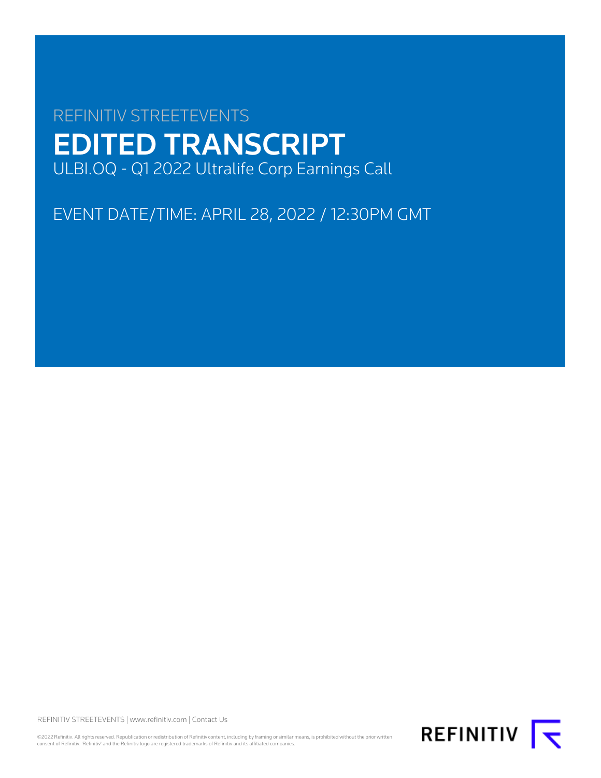# REFINITIV STREETEVENTS EDITED TRANSCRIPT ULBI.OQ - Q1 2022 Ultralife Corp Earnings Call

EVENT DATE/TIME: APRIL 28, 2022 / 12:30PM GMT

REFINITIV STREETEVENTS | [www.refinitiv.com](https://www.refinitiv.com/) | [Contact Us](https://www.refinitiv.com/en/contact-us)

©2022 Refinitiv. All rights reserved. Republication or redistribution of Refinitiv content, including by framing or similar means, is prohibited without the prior written<br>consent of Refinitiv. 'Refinitiv' and the Refinitiv

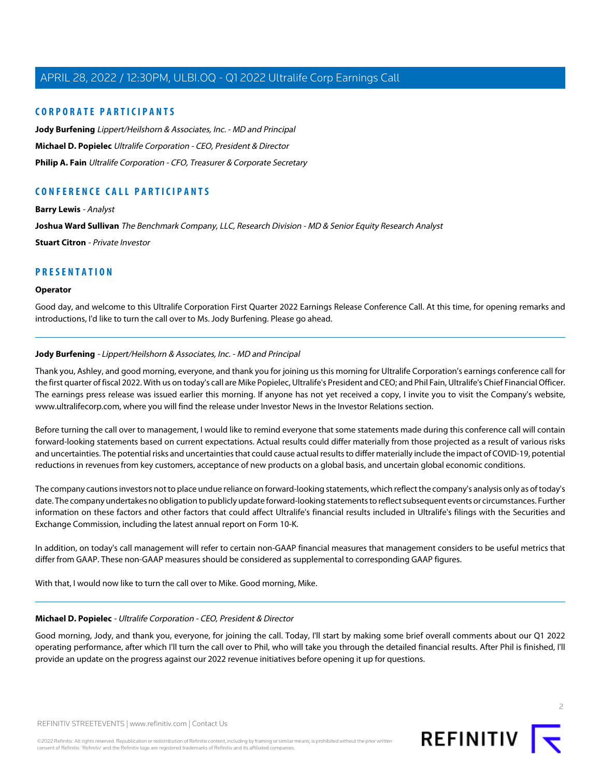# **CORPORATE PARTICIPANTS**

**[Jody Burfening](#page-1-0)** Lippert/Heilshorn & Associates, Inc. - MD and Principal **[Michael D. Popielec](#page-1-1)** Ultralife Corporation - CEO, President & Director **[Philip A. Fain](#page-2-0)** Ultralife Corporation - CFO, Treasurer & Corporate Secretary

# **CONFERENCE CALL PARTICIPANTS**

**[Barry Lewis](#page-8-0)** - Analyst **[Joshua Ward Sullivan](#page-6-0)** The Benchmark Company, LLC, Research Division - MD & Senior Equity Research Analyst **[Stuart Citron](#page-8-1)** - Private Investor

# **PRESENTATION**

## **Operator**

<span id="page-1-0"></span>Good day, and welcome to this Ultralife Corporation First Quarter 2022 Earnings Release Conference Call. At this time, for opening remarks and introductions, I'd like to turn the call over to Ms. Jody Burfening. Please go ahead.

# **Jody Burfening** - Lippert/Heilshorn & Associates, Inc. - MD and Principal

Thank you, Ashley, and good morning, everyone, and thank you for joining us this morning for Ultralife Corporation's earnings conference call for the first quarter of fiscal 2022. With us on today's call are Mike Popielec, Ultralife's President and CEO; and Phil Fain, Ultralife's Chief Financial Officer. The earnings press release was issued earlier this morning. If anyone has not yet received a copy, I invite you to visit the Company's website, www.ultralifecorp.com, where you will find the release under Investor News in the Investor Relations section.

Before turning the call over to management, I would like to remind everyone that some statements made during this conference call will contain forward-looking statements based on current expectations. Actual results could differ materially from those projected as a result of various risks and uncertainties. The potential risks and uncertainties that could cause actual results to differ materially include the impact of COVID-19, potential reductions in revenues from key customers, acceptance of new products on a global basis, and uncertain global economic conditions.

The company cautions investors not to place undue reliance on forward-looking statements, which reflect the company's analysis only as of today's date. The company undertakes no obligation to publicly update forward-looking statements to reflect subsequent events or circumstances. Further information on these factors and other factors that could affect Ultralife's financial results included in Ultralife's filings with the Securities and Exchange Commission, including the latest annual report on Form 10-K.

<span id="page-1-1"></span>In addition, on today's call management will refer to certain non-GAAP financial measures that management considers to be useful metrics that differ from GAAP. These non-GAAP measures should be considered as supplemental to corresponding GAAP figures.

With that, I would now like to turn the call over to Mike. Good morning, Mike.

# **Michael D. Popielec** - Ultralife Corporation - CEO, President & Director

Good morning, Jody, and thank you, everyone, for joining the call. Today, I'll start by making some brief overall comments about our Q1 2022 operating performance, after which I'll turn the call over to Phil, who will take you through the detailed financial results. After Phil is finished, I'll provide an update on the progress against our 2022 revenue initiatives before opening it up for questions.

 $\supset$ 

REFINITIV STREETEVENTS | [www.refinitiv.com](https://www.refinitiv.com/) | [Contact Us](https://www.refinitiv.com/en/contact-us)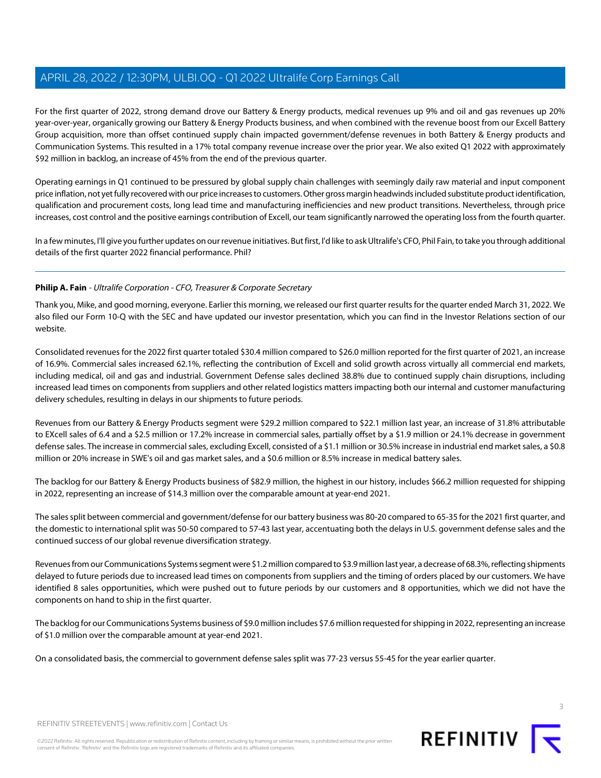For the first quarter of 2022, strong demand drove our Battery & Energy products, medical revenues up 9% and oil and gas revenues up 20% year-over-year, organically growing our Battery & Energy Products business, and when combined with the revenue boost from our Excell Battery Group acquisition, more than offset continued supply chain impacted government/defense revenues in both Battery & Energy products and Communication Systems. This resulted in a 17% total company revenue increase over the prior year. We also exited Q1 2022 with approximately \$92 million in backlog, an increase of 45% from the end of the previous quarter.

Operating earnings in Q1 continued to be pressured by global supply chain challenges with seemingly daily raw material and input component price inflation, not yet fully recovered with our price increases to customers. Other gross margin headwinds included substitute product identification, qualification and procurement costs, long lead time and manufacturing inefficiencies and new product transitions. Nevertheless, through price increases, cost control and the positive earnings contribution of Excell, our team significantly narrowed the operating loss from the fourth quarter.

<span id="page-2-0"></span>In a few minutes, I'll give you further updates on our revenue initiatives. But first, I'd like to ask Ultralife's CFO, Phil Fain, to take you through additional details of the first quarter 2022 financial performance. Phil?

# **Philip A. Fain** - Ultralife Corporation - CFO, Treasurer & Corporate Secretary

Thank you, Mike, and good morning, everyone. Earlier this morning, we released our first quarter results for the quarter ended March 31, 2022. We also filed our Form 10-Q with the SEC and have updated our investor presentation, which you can find in the Investor Relations section of our website.

Consolidated revenues for the 2022 first quarter totaled \$30.4 million compared to \$26.0 million reported for the first quarter of 2021, an increase of 16.9%. Commercial sales increased 62.1%, reflecting the contribution of Excell and solid growth across virtually all commercial end markets, including medical, oil and gas and industrial. Government Defense sales declined 38.8% due to continued supply chain disruptions, including increased lead times on components from suppliers and other related logistics matters impacting both our internal and customer manufacturing delivery schedules, resulting in delays in our shipments to future periods.

Revenues from our Battery & Energy Products segment were \$29.2 million compared to \$22.1 million last year, an increase of 31.8% attributable to EXcell sales of 6.4 and a \$2.5 million or 17.2% increase in commercial sales, partially offset by a \$1.9 million or 24.1% decrease in government defense sales. The increase in commercial sales, excluding Excell, consisted of a \$1.1 million or 30.5% increase in industrial end market sales, a \$0.8 million or 20% increase in SWE's oil and gas market sales, and a \$0.6 million or 8.5% increase in medical battery sales.

The backlog for our Battery & Energy Products business of \$82.9 million, the highest in our history, includes \$66.2 million requested for shipping in 2022, representing an increase of \$14.3 million over the comparable amount at year-end 2021.

The sales split between commercial and government/defense for our battery business was 80-20 compared to 65-35 for the 2021 first quarter, and the domestic to international split was 50-50 compared to 57-43 last year, accentuating both the delays in U.S. government defense sales and the continued success of our global revenue diversification strategy.

Revenues from our Communications Systems segment were \$1.2 million compared to \$3.9 million last year, a decrease of 68.3%, reflecting shipments delayed to future periods due to increased lead times on components from suppliers and the timing of orders placed by our customers. We have identified 8 sales opportunities, which were pushed out to future periods by our customers and 8 opportunities, which we did not have the components on hand to ship in the first quarter.

The backlog for our Communications Systems business of \$9.0 million includes \$7.6 million requested for shipping in 2022, representing an increase of \$1.0 million over the comparable amount at year-end 2021.

On a consolidated basis, the commercial to government defense sales split was 77-23 versus 55-45 for the year earlier quarter.

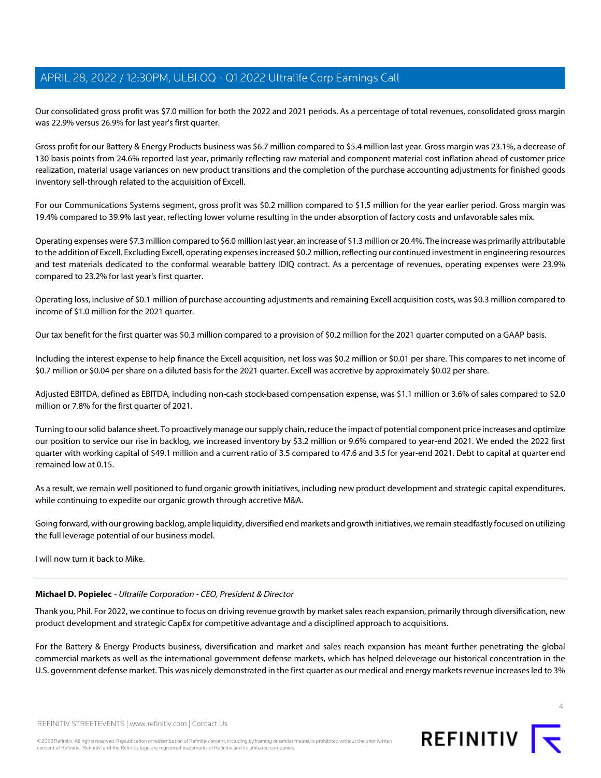Our consolidated gross profit was \$7.0 million for both the 2022 and 2021 periods. As a percentage of total revenues, consolidated gross margin was 22.9% versus 26.9% for last year's first quarter.

Gross profit for our Battery & Energy Products business was \$6.7 million compared to \$5.4 million last year. Gross margin was 23.1%, a decrease of 130 basis points from 24.6% reported last year, primarily reflecting raw material and component material cost inflation ahead of customer price realization, material usage variances on new product transitions and the completion of the purchase accounting adjustments for finished goods inventory sell-through related to the acquisition of Excell.

For our Communications Systems segment, gross profit was \$0.2 million compared to \$1.5 million for the year earlier period. Gross margin was 19.4% compared to 39.9% last year, reflecting lower volume resulting in the under absorption of factory costs and unfavorable sales mix.

Operating expenses were \$7.3 million compared to \$6.0 million last year, an increase of \$1.3 million or 20.4%. The increase was primarily attributable to the addition of Excell. Excluding Excell, operating expenses increased \$0.2 million, reflecting our continued investment in engineering resources and test materials dedicated to the conformal wearable battery IDIQ contract. As a percentage of revenues, operating expenses were 23.9% compared to 23.2% for last year's first quarter.

Operating loss, inclusive of \$0.1 million of purchase accounting adjustments and remaining Excell acquisition costs, was \$0.3 million compared to income of \$1.0 million for the 2021 quarter.

Our tax benefit for the first quarter was \$0.3 million compared to a provision of \$0.2 million for the 2021 quarter computed on a GAAP basis.

Including the interest expense to help finance the Excell acquisition, net loss was \$0.2 million or \$0.01 per share. This compares to net income of \$0.7 million or \$0.04 per share on a diluted basis for the 2021 quarter. Excell was accretive by approximately \$0.02 per share.

Adjusted EBITDA, defined as EBITDA, including non-cash stock-based compensation expense, was \$1.1 million or 3.6% of sales compared to \$2.0 million or 7.8% for the first quarter of 2021.

Turning to our solid balance sheet. To proactively manage our supply chain, reduce the impact of potential component price increases and optimize our position to service our rise in backlog, we increased inventory by \$3.2 million or 9.6% compared to year-end 2021. We ended the 2022 first quarter with working capital of \$49.1 million and a current ratio of 3.5 compared to 47.6 and 3.5 for year-end 2021. Debt to capital at quarter end remained low at 0.15.

As a result, we remain well positioned to fund organic growth initiatives, including new product development and strategic capital expenditures, while continuing to expedite our organic growth through accretive M&A.

Going forward, with our growing backlog, ample liquidity, diversified end markets and growth initiatives, we remain steadfastly focused on utilizing the full leverage potential of our business model.

I will now turn it back to Mike.

# **Michael D. Popielec** - Ultralife Corporation - CEO, President & Director

Thank you, Phil. For 2022, we continue to focus on driving revenue growth by market sales reach expansion, primarily through diversification, new product development and strategic CapEx for competitive advantage and a disciplined approach to acquisitions.

For the Battery & Energy Products business, diversification and market and sales reach expansion has meant further penetrating the global commercial markets as well as the international government defense markets, which has helped deleverage our historical concentration in the U.S. government defense market. This was nicely demonstrated in the first quarter as our medical and energy markets revenue increases led to 3%

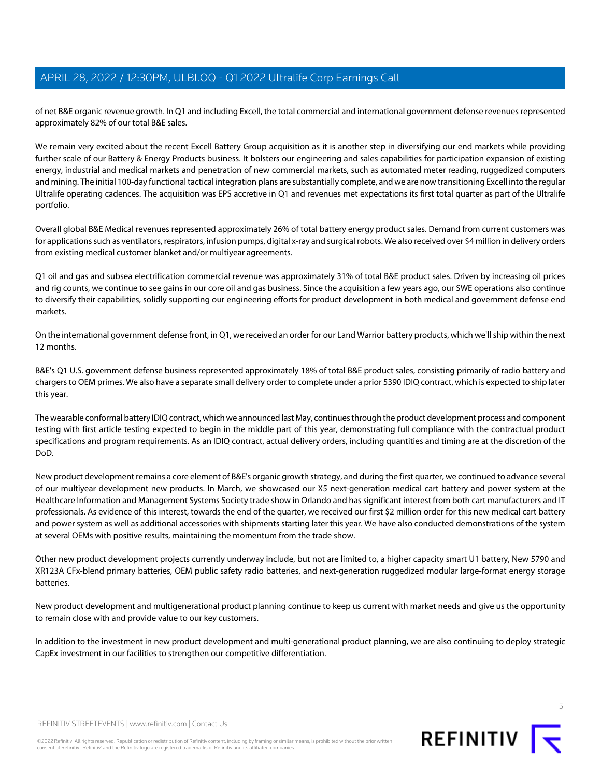of net B&E organic revenue growth. In Q1 and including Excell, the total commercial and international government defense revenues represented approximately 82% of our total B&E sales.

We remain very excited about the recent Excell Battery Group acquisition as it is another step in diversifying our end markets while providing further scale of our Battery & Energy Products business. It bolsters our engineering and sales capabilities for participation expansion of existing energy, industrial and medical markets and penetration of new commercial markets, such as automated meter reading, ruggedized computers and mining. The initial 100-day functional tactical integration plans are substantially complete, and we are now transitioning Excell into the regular Ultralife operating cadences. The acquisition was EPS accretive in Q1 and revenues met expectations its first total quarter as part of the Ultralife portfolio.

Overall global B&E Medical revenues represented approximately 26% of total battery energy product sales. Demand from current customers was for applications such as ventilators, respirators, infusion pumps, digital x-ray and surgical robots. We also received over \$4 million in delivery orders from existing medical customer blanket and/or multiyear agreements.

Q1 oil and gas and subsea electrification commercial revenue was approximately 31% of total B&E product sales. Driven by increasing oil prices and rig counts, we continue to see gains in our core oil and gas business. Since the acquisition a few years ago, our SWE operations also continue to diversify their capabilities, solidly supporting our engineering efforts for product development in both medical and government defense end markets.

On the international government defense front, in Q1, we received an order for our Land Warrior battery products, which we'll ship within the next 12 months.

B&E's Q1 U.S. government defense business represented approximately 18% of total B&E product sales, consisting primarily of radio battery and chargers to OEM primes. We also have a separate small delivery order to complete under a prior 5390 IDIQ contract, which is expected to ship later this year.

The wearable conformal battery IDIQ contract, which we announced last May, continues through the product development process and component testing with first article testing expected to begin in the middle part of this year, demonstrating full compliance with the contractual product specifications and program requirements. As an IDIQ contract, actual delivery orders, including quantities and timing are at the discretion of the DoD.

New product development remains a core element of B&E's organic growth strategy, and during the first quarter, we continued to advance several of our multiyear development new products. In March, we showcased our X5 next-generation medical cart battery and power system at the Healthcare Information and Management Systems Society trade show in Orlando and has significant interest from both cart manufacturers and IT professionals. As evidence of this interest, towards the end of the quarter, we received our first \$2 million order for this new medical cart battery and power system as well as additional accessories with shipments starting later this year. We have also conducted demonstrations of the system at several OEMs with positive results, maintaining the momentum from the trade show.

Other new product development projects currently underway include, but not are limited to, a higher capacity smart U1 battery, New 5790 and XR123A CFx-blend primary batteries, OEM public safety radio batteries, and next-generation ruggedized modular large-format energy storage batteries.

New product development and multigenerational product planning continue to keep us current with market needs and give us the opportunity to remain close with and provide value to our key customers.

In addition to the investment in new product development and multi-generational product planning, we are also continuing to deploy strategic CapEx investment in our facilities to strengthen our competitive differentiation.

5

REFINITIV STREETEVENTS | [www.refinitiv.com](https://www.refinitiv.com/) | [Contact Us](https://www.refinitiv.com/en/contact-us)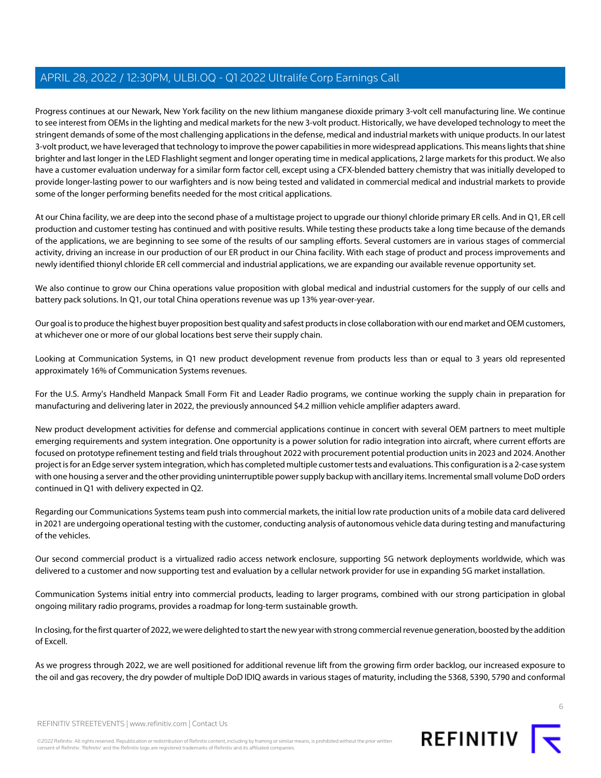Progress continues at our Newark, New York facility on the new lithium manganese dioxide primary 3-volt cell manufacturing line. We continue to see interest from OEMs in the lighting and medical markets for the new 3-volt product. Historically, we have developed technology to meet the stringent demands of some of the most challenging applications in the defense, medical and industrial markets with unique products. In our latest 3-volt product, we have leveraged that technology to improve the power capabilities in more widespread applications. This means lights that shine brighter and last longer in the LED Flashlight segment and longer operating time in medical applications, 2 large markets for this product. We also have a customer evaluation underway for a similar form factor cell, except using a CFX-blended battery chemistry that was initially developed to provide longer-lasting power to our warfighters and is now being tested and validated in commercial medical and industrial markets to provide some of the longer performing benefits needed for the most critical applications.

At our China facility, we are deep into the second phase of a multistage project to upgrade our thionyl chloride primary ER cells. And in Q1, ER cell production and customer testing has continued and with positive results. While testing these products take a long time because of the demands of the applications, we are beginning to see some of the results of our sampling efforts. Several customers are in various stages of commercial activity, driving an increase in our production of our ER product in our China facility. With each stage of product and process improvements and newly identified thionyl chloride ER cell commercial and industrial applications, we are expanding our available revenue opportunity set.

We also continue to grow our China operations value proposition with global medical and industrial customers for the supply of our cells and battery pack solutions. In Q1, our total China operations revenue was up 13% year-over-year.

Our goal is to produce the highest buyer proposition best quality and safest products in close collaboration with our end market and OEM customers, at whichever one or more of our global locations best serve their supply chain.

Looking at Communication Systems, in Q1 new product development revenue from products less than or equal to 3 years old represented approximately 16% of Communication Systems revenues.

For the U.S. Army's Handheld Manpack Small Form Fit and Leader Radio programs, we continue working the supply chain in preparation for manufacturing and delivering later in 2022, the previously announced \$4.2 million vehicle amplifier adapters award.

New product development activities for defense and commercial applications continue in concert with several OEM partners to meet multiple emerging requirements and system integration. One opportunity is a power solution for radio integration into aircraft, where current efforts are focused on prototype refinement testing and field trials throughout 2022 with procurement potential production units in 2023 and 2024. Another project is for an Edge server system integration, which has completed multiple customer tests and evaluations. This configuration is a 2-case system with one housing a server and the other providing uninterruptible power supply backup with ancillary items. Incremental small volume DoD orders continued in Q1 with delivery expected in Q2.

Regarding our Communications Systems team push into commercial markets, the initial low rate production units of a mobile data card delivered in 2021 are undergoing operational testing with the customer, conducting analysis of autonomous vehicle data during testing and manufacturing of the vehicles.

Our second commercial product is a virtualized radio access network enclosure, supporting 5G network deployments worldwide, which was delivered to a customer and now supporting test and evaluation by a cellular network provider for use in expanding 5G market installation.

Communication Systems initial entry into commercial products, leading to larger programs, combined with our strong participation in global ongoing military radio programs, provides a roadmap for long-term sustainable growth.

In closing, for the first quarter of 2022, we were delighted to start the new year with strong commercial revenue generation, boosted by the addition of Excell.

As we progress through 2022, we are well positioned for additional revenue lift from the growing firm order backlog, our increased exposure to the oil and gas recovery, the dry powder of multiple DoD IDIQ awards in various stages of maturity, including the 5368, 5390, 5790 and conformal



REFINITIV STREETEVENTS | [www.refinitiv.com](https://www.refinitiv.com/) | [Contact Us](https://www.refinitiv.com/en/contact-us)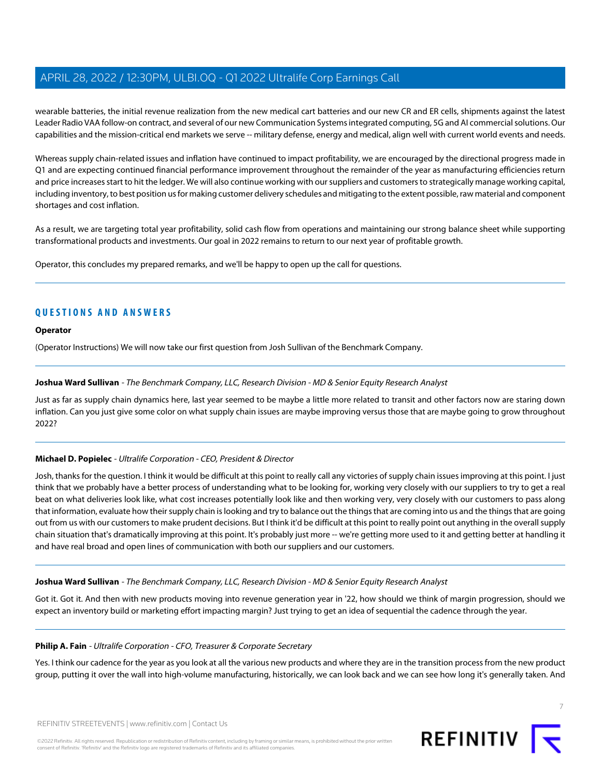wearable batteries, the initial revenue realization from the new medical cart batteries and our new CR and ER cells, shipments against the latest Leader Radio VAA follow-on contract, and several of our new Communication Systems integrated computing, 5G and AI commercial solutions. Our capabilities and the mission-critical end markets we serve -- military defense, energy and medical, align well with current world events and needs.

Whereas supply chain-related issues and inflation have continued to impact profitability, we are encouraged by the directional progress made in Q1 and are expecting continued financial performance improvement throughout the remainder of the year as manufacturing efficiencies return and price increases start to hit the ledger. We will also continue working with our suppliers and customers to strategically manage working capital, including inventory, to best position us for making customer delivery schedules and mitigating to the extent possible, raw material and component shortages and cost inflation.

As a result, we are targeting total year profitability, solid cash flow from operations and maintaining our strong balance sheet while supporting transformational products and investments. Our goal in 2022 remains to return to our next year of profitable growth.

Operator, this concludes my prepared remarks, and we'll be happy to open up the call for questions.

# **QUESTIONS AND ANSWERS**

## **Operator**

<span id="page-6-0"></span>(Operator Instructions) We will now take our first question from Josh Sullivan of the Benchmark Company.

## **Joshua Ward Sullivan** - The Benchmark Company, LLC, Research Division - MD & Senior Equity Research Analyst

Just as far as supply chain dynamics here, last year seemed to be maybe a little more related to transit and other factors now are staring down inflation. Can you just give some color on what supply chain issues are maybe improving versus those that are maybe going to grow throughout 2022?

# **Michael D. Popielec** - Ultralife Corporation - CEO, President & Director

Josh, thanks for the question. I think it would be difficult at this point to really call any victories of supply chain issues improving at this point. I just think that we probably have a better process of understanding what to be looking for, working very closely with our suppliers to try to get a real beat on what deliveries look like, what cost increases potentially look like and then working very, very closely with our customers to pass along that information, evaluate how their supply chain is looking and try to balance out the things that are coming into us and the things that are going out from us with our customers to make prudent decisions. But I think it'd be difficult at this point to really point out anything in the overall supply chain situation that's dramatically improving at this point. It's probably just more -- we're getting more used to it and getting better at handling it and have real broad and open lines of communication with both our suppliers and our customers.

### **Joshua Ward Sullivan** - The Benchmark Company, LLC, Research Division - MD & Senior Equity Research Analyst

Got it. Got it. And then with new products moving into revenue generation year in '22, how should we think of margin progression, should we expect an inventory build or marketing effort impacting margin? Just trying to get an idea of sequential the cadence through the year.

#### **Philip A. Fain** - Ultralife Corporation - CFO, Treasurer & Corporate Secretary

Yes. I think our cadence for the year as you look at all the various new products and where they are in the transition process from the new product group, putting it over the wall into high-volume manufacturing, historically, we can look back and we can see how long it's generally taken. And

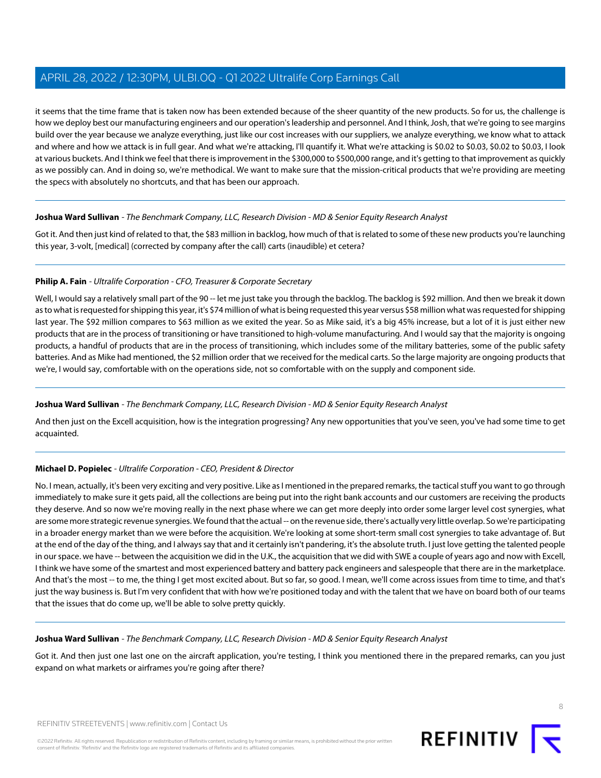it seems that the time frame that is taken now has been extended because of the sheer quantity of the new products. So for us, the challenge is how we deploy best our manufacturing engineers and our operation's leadership and personnel. And I think, Josh, that we're going to see margins build over the year because we analyze everything, just like our cost increases with our suppliers, we analyze everything, we know what to attack and where and how we attack is in full gear. And what we're attacking, I'll quantify it. What we're attacking is \$0.02 to \$0.03, \$0.02 to \$0.03, I look at various buckets. And I think we feel that there is improvement in the \$300,000 to \$500,000 range, and it's getting to that improvement as quickly as we possibly can. And in doing so, we're methodical. We want to make sure that the mission-critical products that we're providing are meeting the specs with absolutely no shortcuts, and that has been our approach.

# **Joshua Ward Sullivan** - The Benchmark Company, LLC, Research Division - MD & Senior Equity Research Analyst

Got it. And then just kind of related to that, the \$83 million in backlog, how much of that is related to some of these new products you're launching this year, 3-volt, [medical] (corrected by company after the call) carts (inaudible) et cetera?

# **Philip A. Fain** - Ultralife Corporation - CFO, Treasurer & Corporate Secretary

Well, I would say a relatively small part of the 90 -- let me just take you through the backlog. The backlog is \$92 million. And then we break it down as to what is requested for shipping this year, it's \$74 million of what is being requested this year versus \$58 million what was requested for shipping last year. The \$92 million compares to \$63 million as we exited the year. So as Mike said, it's a big 45% increase, but a lot of it is just either new products that are in the process of transitioning or have transitioned to high-volume manufacturing. And I would say that the majority is ongoing products, a handful of products that are in the process of transitioning, which includes some of the military batteries, some of the public safety batteries. And as Mike had mentioned, the \$2 million order that we received for the medical carts. So the large majority are ongoing products that we're, I would say, comfortable with on the operations side, not so comfortable with on the supply and component side.

# **Joshua Ward Sullivan** - The Benchmark Company, LLC, Research Division - MD & Senior Equity Research Analyst

And then just on the Excell acquisition, how is the integration progressing? Any new opportunities that you've seen, you've had some time to get acquainted.

# **Michael D. Popielec** - Ultralife Corporation - CEO, President & Director

No. I mean, actually, it's been very exciting and very positive. Like as I mentioned in the prepared remarks, the tactical stuff you want to go through immediately to make sure it gets paid, all the collections are being put into the right bank accounts and our customers are receiving the products they deserve. And so now we're moving really in the next phase where we can get more deeply into order some larger level cost synergies, what are some more strategic revenue synergies. We found that the actual -- on the revenue side, there's actually very little overlap. So we're participating in a broader energy market than we were before the acquisition. We're looking at some short-term small cost synergies to take advantage of. But at the end of the day of the thing, and I always say that and it certainly isn't pandering, it's the absolute truth. I just love getting the talented people in our space. we have -- between the acquisition we did in the U.K., the acquisition that we did with SWE a couple of years ago and now with Excell, I think we have some of the smartest and most experienced battery and battery pack engineers and salespeople that there are in the marketplace. And that's the most -- to me, the thing I get most excited about. But so far, so good. I mean, we'll come across issues from time to time, and that's just the way business is. But I'm very confident that with how we're positioned today and with the talent that we have on board both of our teams that the issues that do come up, we'll be able to solve pretty quickly.

# **Joshua Ward Sullivan** - The Benchmark Company, LLC, Research Division - MD & Senior Equity Research Analyst

Got it. And then just one last one on the aircraft application, you're testing, I think you mentioned there in the prepared remarks, can you just expand on what markets or airframes you're going after there?

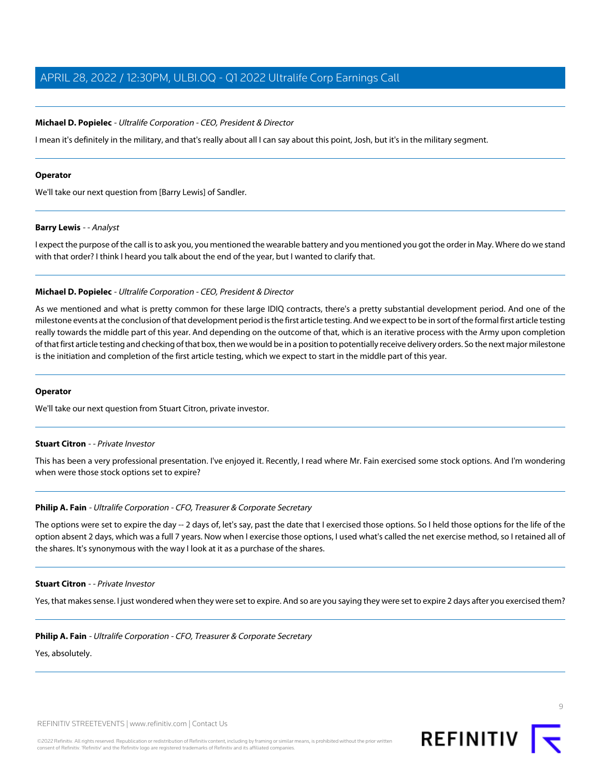## **Michael D. Popielec** - Ultralife Corporation - CEO, President & Director

I mean it's definitely in the military, and that's really about all I can say about this point, Josh, but it's in the military segment.

#### **Operator**

<span id="page-8-0"></span>We'll take our next question from [Barry Lewis] of Sandler.

#### **Barry Lewis** - - Analyst

I expect the purpose of the call is to ask you, you mentioned the wearable battery and you mentioned you got the order in May. Where do we stand with that order? I think I heard you talk about the end of the year, but I wanted to clarify that.

#### **Michael D. Popielec** - Ultralife Corporation - CEO, President & Director

As we mentioned and what is pretty common for these large IDIQ contracts, there's a pretty substantial development period. And one of the milestone events at the conclusion of that development period is the first article testing. And we expect to be in sort of the formal first article testing really towards the middle part of this year. And depending on the outcome of that, which is an iterative process with the Army upon completion of that first article testing and checking of that box, then we would be in a position to potentially receive delivery orders. So the next major milestone is the initiation and completion of the first article testing, which we expect to start in the middle part of this year.

#### <span id="page-8-1"></span>**Operator**

We'll take our next question from Stuart Citron, private investor.

#### **Stuart Citron** - - Private Investor

This has been a very professional presentation. I've enjoyed it. Recently, I read where Mr. Fain exercised some stock options. And I'm wondering when were those stock options set to expire?

#### **Philip A. Fain** - Ultralife Corporation - CFO, Treasurer & Corporate Secretary

The options were set to expire the day -- 2 days of, let's say, past the date that I exercised those options. So I held those options for the life of the option absent 2 days, which was a full 7 years. Now when I exercise those options, I used what's called the net exercise method, so I retained all of the shares. It's synonymous with the way I look at it as a purchase of the shares.

#### **Stuart Citron** - - Private Investor

Yes, that makes sense. I just wondered when they were set to expire. And so are you saying they were set to expire 2 days after you exercised them?

#### **Philip A. Fain** - Ultralife Corporation - CFO, Treasurer & Corporate Secretary

Yes, absolutely.